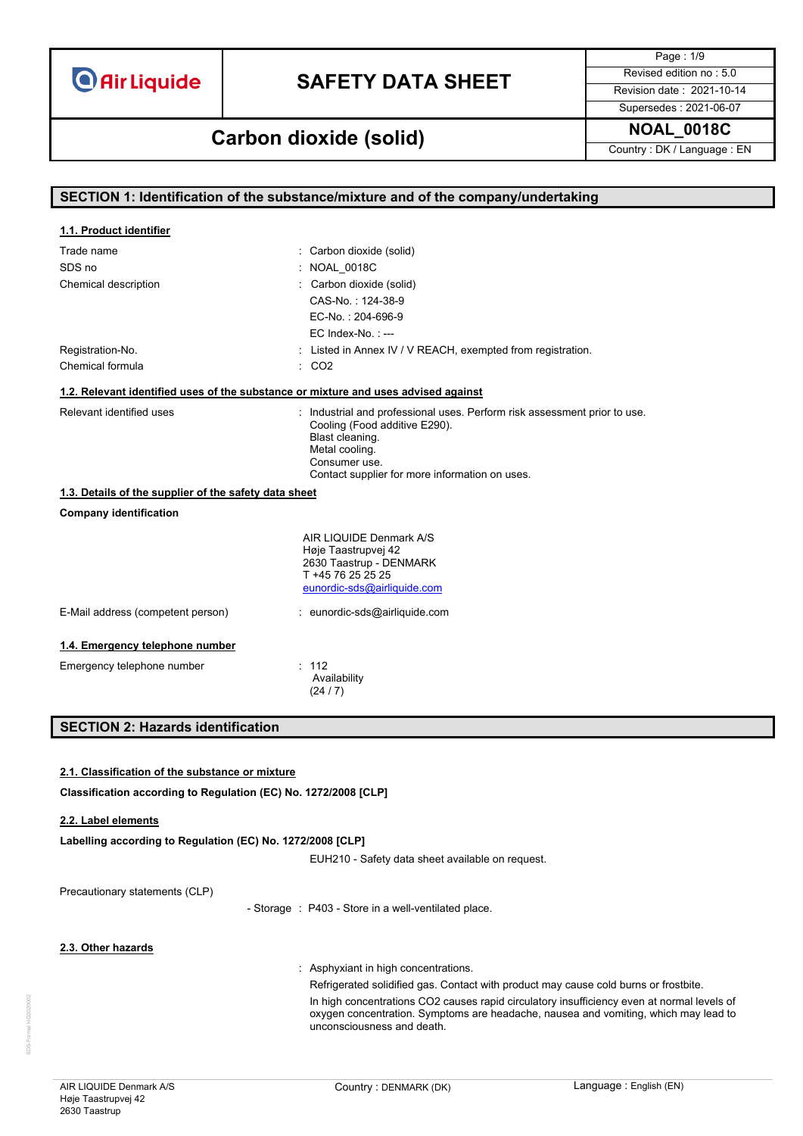# **SAFETY DATA SHEET** Revised edition no : 5.0

Page : 1/9 Supersedes : 2021-06-07

### **NOAL\_0018C Carbon dioxide (solid)**

Country : DK / Language : EN

|                                                                                    | SECTION 1: Identification of the substance/mixture and of the company/undertaking    |  |  |  |  |
|------------------------------------------------------------------------------------|--------------------------------------------------------------------------------------|--|--|--|--|
|                                                                                    |                                                                                      |  |  |  |  |
| 1.1. Product identifier                                                            |                                                                                      |  |  |  |  |
| Trade name                                                                         | : Carbon dioxide (solid)                                                             |  |  |  |  |
| SDS no                                                                             | NOAL_0018C                                                                           |  |  |  |  |
| Chemical description                                                               | : Carbon dioxide (solid)<br>CAS-No.: 124-38-9                                        |  |  |  |  |
|                                                                                    | EC-No.: 204-696-9                                                                    |  |  |  |  |
|                                                                                    | EC Index-No.: ---                                                                    |  |  |  |  |
| Registration-No.                                                                   | : Listed in Annex IV / V REACH, exempted from registration.                          |  |  |  |  |
| Chemical formula                                                                   | $\therefore$ CO <sub>2</sub>                                                         |  |  |  |  |
| 1.2. Relevant identified uses of the substance or mixture and uses advised against |                                                                                      |  |  |  |  |
| Relevant identified uses                                                           | : Industrial and professional uses. Perform risk assessment prior to use.            |  |  |  |  |
|                                                                                    | Cooling (Food additive E290).                                                        |  |  |  |  |
|                                                                                    | Blast cleaning.                                                                      |  |  |  |  |
|                                                                                    | Metal cooling.<br>Consumer use.                                                      |  |  |  |  |
|                                                                                    | Contact supplier for more information on uses.                                       |  |  |  |  |
| 1.3. Details of the supplier of the safety data sheet                              |                                                                                      |  |  |  |  |
| <b>Company identification</b>                                                      |                                                                                      |  |  |  |  |
|                                                                                    | AIR LIQUIDE Denmark A/S                                                              |  |  |  |  |
|                                                                                    | Høje Taastrupvej 42                                                                  |  |  |  |  |
|                                                                                    | 2630 Taastrup - DENMARK<br>T +45 76 25 25 25                                         |  |  |  |  |
|                                                                                    | eunordic-sds@airliquide.com                                                          |  |  |  |  |
| E-Mail address (competent person)                                                  | : eunordic-sds@airliquide.com                                                        |  |  |  |  |
|                                                                                    |                                                                                      |  |  |  |  |
| 1.4. Emergency telephone number                                                    |                                                                                      |  |  |  |  |
| Emergency telephone number                                                         | : 112                                                                                |  |  |  |  |
|                                                                                    | Availability<br>(24/7)                                                               |  |  |  |  |
|                                                                                    |                                                                                      |  |  |  |  |
| <b>SECTION 2: Hazards identification</b>                                           |                                                                                      |  |  |  |  |
|                                                                                    |                                                                                      |  |  |  |  |
| 2.1. Classification of the substance or mixture                                    |                                                                                      |  |  |  |  |
| Classification according to Regulation (EC) No. 1272/2008 [CLP]                    |                                                                                      |  |  |  |  |
|                                                                                    |                                                                                      |  |  |  |  |
| 2.2. Label elements                                                                |                                                                                      |  |  |  |  |
| Labelling according to Regulation (EC) No. 1272/2008 [CLP]                         |                                                                                      |  |  |  |  |
|                                                                                    | EUH210 - Safety data sheet available on request.                                     |  |  |  |  |
| Precautionary statements (CLP)                                                     |                                                                                      |  |  |  |  |
|                                                                                    | - Storage : P403 - Store in a well-ventilated place.                                 |  |  |  |  |
|                                                                                    |                                                                                      |  |  |  |  |
| 2.3. Other hazards                                                                 |                                                                                      |  |  |  |  |
|                                                                                    |                                                                                      |  |  |  |  |
|                                                                                    | Asphyxiant in high concentrations.                                                   |  |  |  |  |
|                                                                                    | Refrigerated solidified gas. Contact with product may cause cold burns or frostbite. |  |  |  |  |

unconsciousness and death.

In high concentrations CO2 causes rapid circulatory insufficiency even at normal levels of oxygen concentration. Symptoms are headache, nausea and vomiting, which may lead to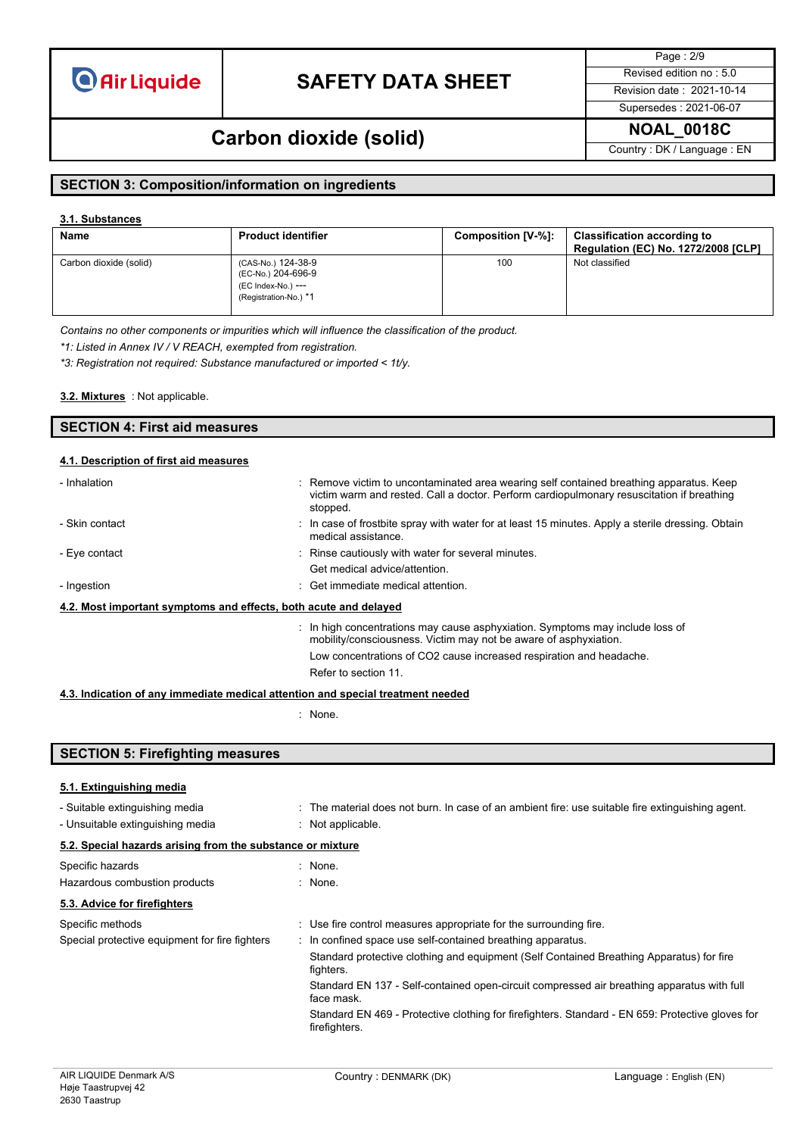# **SAFETY DATA SHEET** Revised edition no : 5.0

Page : 2/9

Supersedes : 2021-06-07

### **NOAL\_0018C Carbon dioxide (solid)**

Country : DK / Language : EN

### **SECTION 3: Composition/information on ingredients**

#### **3.1. Substances**

| Name                   | <b>Product identifier</b>                                                               | Composition [V-%]: | <b>Classification according to</b><br><b>Regulation (EC) No. 1272/2008 [CLP]</b> |
|------------------------|-----------------------------------------------------------------------------------------|--------------------|----------------------------------------------------------------------------------|
| Carbon dioxide (solid) | (CAS-No.) 124-38-9<br>(EC-No.) 204-696-9<br>(EC Index-No.) ---<br>(Registration-No.) *1 | 100                | Not classified                                                                   |

*Contains no other components or impurities which will influence the classification of the product.*

*\*1: Listed in Annex IV / V REACH, exempted from registration.*

*\*3: Registration not required: Substance manufactured or imported < 1t/y.*

: Not applicable. **3.2. Mixtures**

| <b>SECTION 4: First aid measures</b>   |  |
|----------------------------------------|--|
|                                        |  |
| 4.1. Description of first aid measures |  |

| - Inhalation                                                     | : Remove victim to uncontaminated area wearing self contained breathing apparatus. Keep<br>victim warm and rested. Call a doctor. Perform cardiopulmonary resuscitation if breathing<br>stopped. |  |  |  |
|------------------------------------------------------------------|--------------------------------------------------------------------------------------------------------------------------------------------------------------------------------------------------|--|--|--|
| - Skin contact                                                   | : In case of frostbite spray with water for at least 15 minutes. Apply a sterile dressing. Obtain<br>medical assistance.                                                                         |  |  |  |
| - Eye contact                                                    | : Rinse cautiously with water for several minutes.                                                                                                                                               |  |  |  |
|                                                                  | Get medical advice/attention.                                                                                                                                                                    |  |  |  |
| - Ingestion                                                      | $\therefore$ Get immediate medical attention.                                                                                                                                                    |  |  |  |
| 4.2. Most important symptoms and effects, both acute and delayed |                                                                                                                                                                                                  |  |  |  |
|                                                                  | : In high concentrations may cause asphyxiation. Symptoms may include loss of<br>mobility/consciousness. Victim may not be aware of asphyxiation.                                                |  |  |  |
|                                                                  | Low concentrations of CO2 cause increased respiration and headache.                                                                                                                              |  |  |  |
|                                                                  | Refer to section 11.                                                                                                                                                                             |  |  |  |

#### **4.3. Indication of any immediate medical attention and special treatment needed**

: None.

| <b>SECTION 5: Firefighting measures</b>                            |                                                                                                                       |  |  |  |  |  |
|--------------------------------------------------------------------|-----------------------------------------------------------------------------------------------------------------------|--|--|--|--|--|
| 5.1. Extinguishing media                                           |                                                                                                                       |  |  |  |  |  |
| - Suitable extinguishing media<br>- Unsuitable extinguishing media | : The material does not burn. In case of an ambient fire: use suitable fire extinguishing agent.<br>: Not applicable. |  |  |  |  |  |
|                                                                    | 5.2. Special hazards arising from the substance or mixture                                                            |  |  |  |  |  |
| Specific hazards<br>Hazardous combustion products                  | : None.<br>: None.                                                                                                    |  |  |  |  |  |
| 5.3. Advice for firefighters                                       |                                                                                                                       |  |  |  |  |  |
| Specific methods                                                   | : Use fire control measures appropriate for the surrounding fire.                                                     |  |  |  |  |  |
| Special protective equipment for fire fighters                     | : In confined space use self-contained breathing apparatus.                                                           |  |  |  |  |  |
|                                                                    | Standard protective clothing and equipment (Self Contained Breathing Apparatus) for fire<br>fighters.                 |  |  |  |  |  |
|                                                                    | Standard EN 137 - Self-contained open-circuit compressed air breathing apparatus with full<br>face mask.              |  |  |  |  |  |
|                                                                    | Standard EN 469 - Protective clothing for firefighters. Standard - EN 659: Protective gloves for<br>firefighters.     |  |  |  |  |  |
|                                                                    |                                                                                                                       |  |  |  |  |  |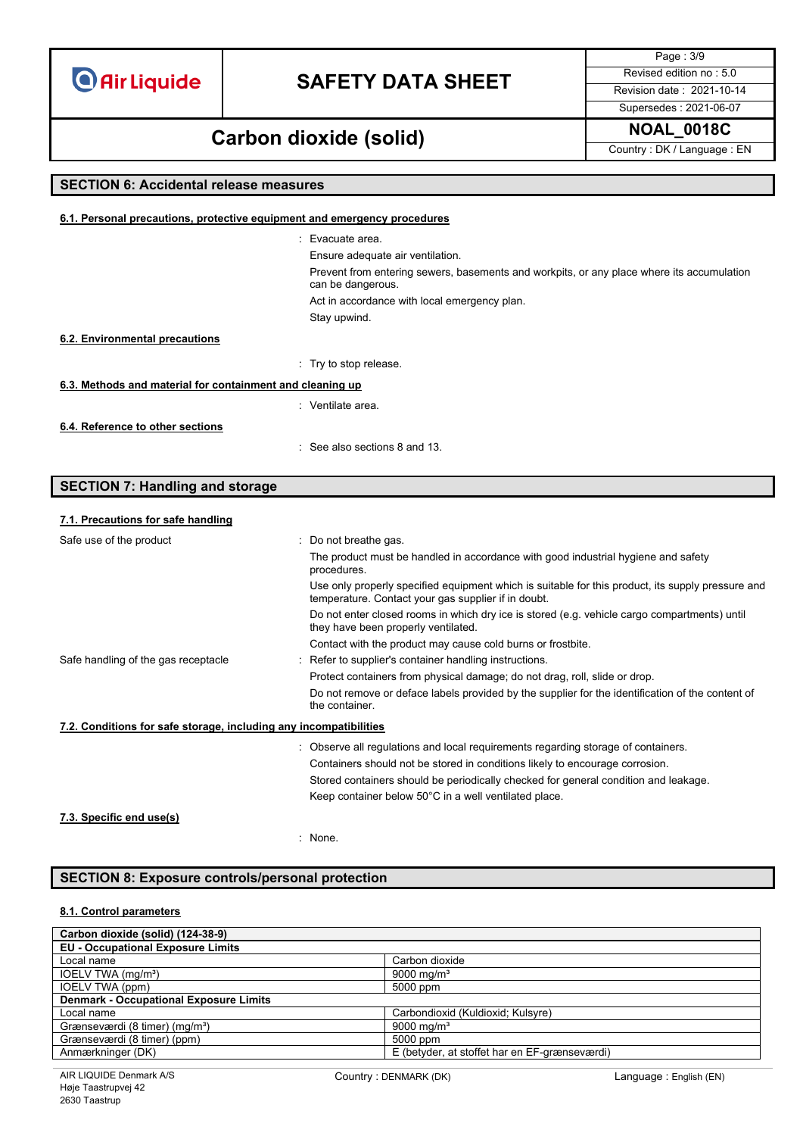### **SAFETY DATA SHEET** Revised edition no : 5.0

Supersedes : 2021-06-07

Page : 3/9

**NOAL\_0018C Carbon dioxide (solid)**

Country : DK / Language : EN

### **SECTION 6: Accidental release measures 6.1. Personal precautions, protective equipment and emergency procedures** : Evacuate area. Ensure adequate air ventilation. Prevent from entering sewers, basements and workpits, or any place where its accumulation can be dangerous. Act in accordance with local emergency plan. Stay upwind. : Try to stop release. **6.3. Methods and material for containment and cleaning up** : Ventilate area. : See also sections 8 and 13. **6.2. Environmental precautions 6.4. Reference to other sections**

### **SECTION 7: Handling and storage**

### **7.1. Precautions for safe handling** Safe use of the product state of the product the set of the product of the product of the product of the product of the product of the product of the product of the product of the product of the product of the product of t The product must be handled in accordance with good industrial hygiene and safety procedures. Use only properly specified equipment which is suitable for this product, its supply pressure and temperature. Contact your gas supplier if in doubt. Do not enter closed rooms in which dry ice is stored (e.g. vehicle cargo compartments) until they have been properly ventilated. Contact with the product may cause cold burns or frostbite. Safe handling of the gas receptacle : Refer to supplier's container handling instructions. Protect containers from physical damage; do not drag, roll, slide or drop. Do not remove or deface labels provided by the supplier for the identification of the content of the container. **7.2. Conditions for safe storage, including any incompatibilities** : Observe all regulations and local requirements regarding storage of containers. Containers should not be stored in conditions likely to encourage corrosion. Stored containers should be periodically checked for general condition and leakage. Keep container below 50°C in a well ventilated place. **7.3. Specific end use(s)**

: None.

### **SECTION 8: Exposure controls/personal protection**

#### **8.1. Control parameters**

| Carbon dioxide (solid) (124-38-9)             |                                               |  |
|-----------------------------------------------|-----------------------------------------------|--|
| <b>EU - Occupational Exposure Limits</b>      |                                               |  |
| Local name                                    | Carbon dioxide                                |  |
| IOELV TWA (mg/m <sup>3</sup> )                | 9000 mg/m <sup>3</sup>                        |  |
| <b>IOELV TWA (ppm)</b>                        | 5000 ppm                                      |  |
| <b>Denmark - Occupational Exposure Limits</b> |                                               |  |
| Local name                                    | Carbondioxid (Kuldioxid; Kulsyre)             |  |
| Grænseværdi (8 timer) (mg/m <sup>3</sup> )    | 9000 mg/m <sup>3</sup>                        |  |
| Grænseværdi (8 timer) (ppm)                   | 5000 ppm                                      |  |
| Anmærkninger (DK)                             | E (betyder, at stoffet har en EF-grænseværdi) |  |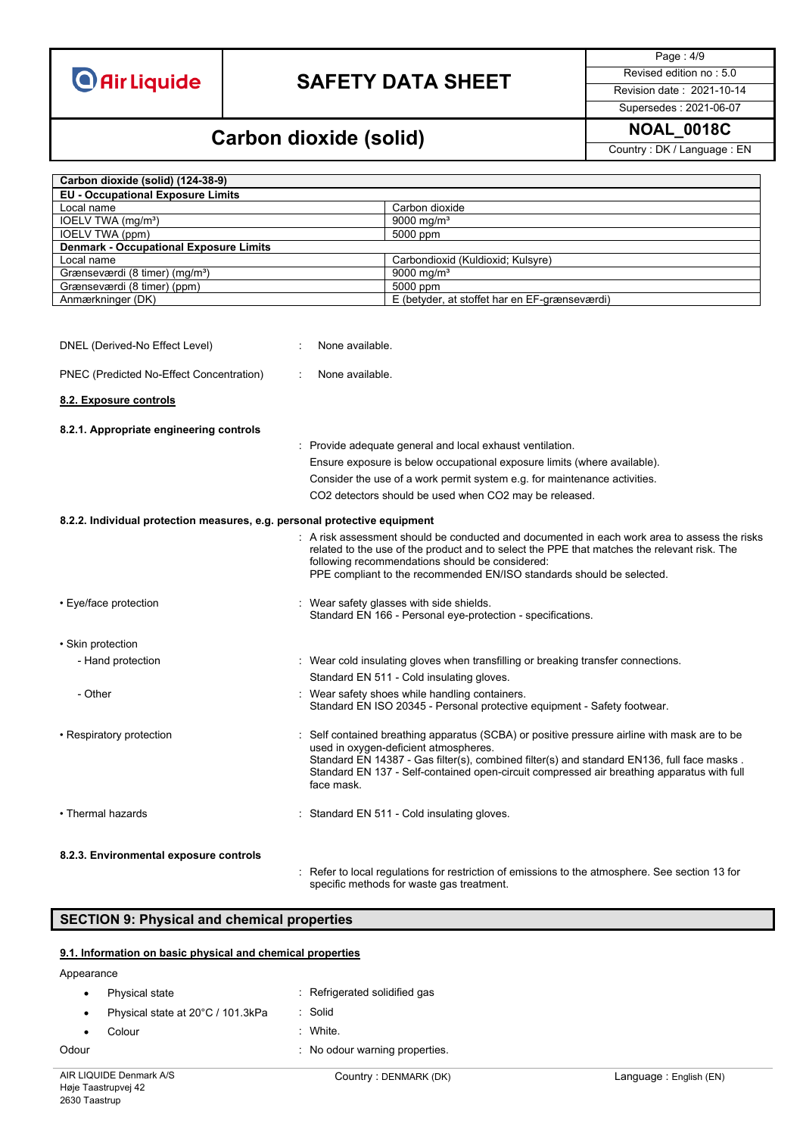# **SAFETY DATA SHEET** Revised edition no : 5.0

Page : 4/9

Supersedes : 2021-06-07

### **NOAL\_0018C Carbon dioxide (solid)**

Country : DK / Language : EN

| Carbon dioxide (solid) (124-38-9)                                                                                                                                                                                                                                                                                                                                                                    |                                                                           |                                                                                                                                                                                                                                                                                                                                 |  |
|------------------------------------------------------------------------------------------------------------------------------------------------------------------------------------------------------------------------------------------------------------------------------------------------------------------------------------------------------------------------------------------------------|---------------------------------------------------------------------------|---------------------------------------------------------------------------------------------------------------------------------------------------------------------------------------------------------------------------------------------------------------------------------------------------------------------------------|--|
| <b>EU - Occupational Exposure Limits</b>                                                                                                                                                                                                                                                                                                                                                             |                                                                           |                                                                                                                                                                                                                                                                                                                                 |  |
| Local name                                                                                                                                                                                                                                                                                                                                                                                           |                                                                           | Carbon dioxide                                                                                                                                                                                                                                                                                                                  |  |
| IOELV TWA (mg/m <sup>3</sup> )                                                                                                                                                                                                                                                                                                                                                                       |                                                                           | 9000 mg/m <sup>3</sup>                                                                                                                                                                                                                                                                                                          |  |
| <b>IOELV TWA (ppm)</b>                                                                                                                                                                                                                                                                                                                                                                               |                                                                           | 5000 ppm                                                                                                                                                                                                                                                                                                                        |  |
| <b>Denmark - Occupational Exposure Limits</b>                                                                                                                                                                                                                                                                                                                                                        |                                                                           |                                                                                                                                                                                                                                                                                                                                 |  |
| Local name                                                                                                                                                                                                                                                                                                                                                                                           |                                                                           | Carbondioxid (Kuldioxid; Kulsyre)                                                                                                                                                                                                                                                                                               |  |
| Grænseværdi (8 timer) (mg/m <sup>3</sup> )                                                                                                                                                                                                                                                                                                                                                           |                                                                           | 9000 mg/m <sup>3</sup><br>5000 ppm                                                                                                                                                                                                                                                                                              |  |
| Grænseværdi (8 timer) (ppm)<br>Anmærkninger (DK)                                                                                                                                                                                                                                                                                                                                                     |                                                                           | E (betyder, at stoffet har en EF-grænseværdi)                                                                                                                                                                                                                                                                                   |  |
| DNEL (Derived-No Effect Level)                                                                                                                                                                                                                                                                                                                                                                       | None available.                                                           |                                                                                                                                                                                                                                                                                                                                 |  |
| PNEC (Predicted No-Effect Concentration)                                                                                                                                                                                                                                                                                                                                                             | None available.                                                           |                                                                                                                                                                                                                                                                                                                                 |  |
| 8.2. Exposure controls                                                                                                                                                                                                                                                                                                                                                                               |                                                                           |                                                                                                                                                                                                                                                                                                                                 |  |
| 8.2.1. Appropriate engineering controls                                                                                                                                                                                                                                                                                                                                                              |                                                                           |                                                                                                                                                                                                                                                                                                                                 |  |
|                                                                                                                                                                                                                                                                                                                                                                                                      |                                                                           | : Provide adequate general and local exhaust ventilation.                                                                                                                                                                                                                                                                       |  |
|                                                                                                                                                                                                                                                                                                                                                                                                      | Ensure exposure is below occupational exposure limits (where available).  |                                                                                                                                                                                                                                                                                                                                 |  |
|                                                                                                                                                                                                                                                                                                                                                                                                      | Consider the use of a work permit system e.g. for maintenance activities. |                                                                                                                                                                                                                                                                                                                                 |  |
|                                                                                                                                                                                                                                                                                                                                                                                                      | CO2 detectors should be used when CO2 may be released.                    |                                                                                                                                                                                                                                                                                                                                 |  |
|                                                                                                                                                                                                                                                                                                                                                                                                      |                                                                           |                                                                                                                                                                                                                                                                                                                                 |  |
| 8.2.2. Individual protection measures, e.g. personal protective equipment<br>: A risk assessment should be conducted and documented in each work area to assess the risks<br>related to the use of the product and to select the PPE that matches the relevant risk. The<br>following recommendations should be considered:<br>PPE compliant to the recommended EN/ISO standards should be selected. |                                                                           |                                                                                                                                                                                                                                                                                                                                 |  |
| • Eye/face protection                                                                                                                                                                                                                                                                                                                                                                                |                                                                           | Wear safety glasses with side shields.<br>Standard EN 166 - Personal eye-protection - specifications.                                                                                                                                                                                                                           |  |
| • Skin protection                                                                                                                                                                                                                                                                                                                                                                                    |                                                                           |                                                                                                                                                                                                                                                                                                                                 |  |
| - Hand protection                                                                                                                                                                                                                                                                                                                                                                                    |                                                                           | : Wear cold insulating gloves when transfilling or breaking transfer connections.                                                                                                                                                                                                                                               |  |
|                                                                                                                                                                                                                                                                                                                                                                                                      |                                                                           | Standard EN 511 - Cold insulating gloves.                                                                                                                                                                                                                                                                                       |  |
| - Other                                                                                                                                                                                                                                                                                                                                                                                              |                                                                           | : Wear safety shoes while handling containers.<br>Standard EN ISO 20345 - Personal protective equipment - Safety footwear.                                                                                                                                                                                                      |  |
| • Respiratory protection                                                                                                                                                                                                                                                                                                                                                                             | face mask.                                                                | Self contained breathing apparatus (SCBA) or positive pressure airline with mask are to be<br>used in oxygen-deficient atmospheres.<br>Standard EN 14387 - Gas filter(s), combined filter(s) and standard EN136, full face masks.<br>Standard EN 137 - Self-contained open-circuit compressed air breathing apparatus with full |  |
| • Thermal hazards                                                                                                                                                                                                                                                                                                                                                                                    |                                                                           | : Standard EN 511 - Cold insulating gloves.                                                                                                                                                                                                                                                                                     |  |
| 8.2.3. Environmental exposure controls                                                                                                                                                                                                                                                                                                                                                               |                                                                           |                                                                                                                                                                                                                                                                                                                                 |  |
|                                                                                                                                                                                                                                                                                                                                                                                                      |                                                                           | Refer to local regulations for restriction of emissions to the atmosphere. See section 13 for<br>specific methods for waste gas treatment.                                                                                                                                                                                      |  |

### **SECTION 9: Physical and chemical properties**

#### **9.1. Information on basic physical and chemical properties**

| Odour     |                                   | No odour warning properties.  |
|-----------|-----------------------------------|-------------------------------|
|           | Colour                            | : White.                      |
| $\bullet$ | Physical state at 20°C / 101.3kPa | : Solid                       |
|           | Physical state                    | : Refrigerated solidified gas |
|           |                                   |                               |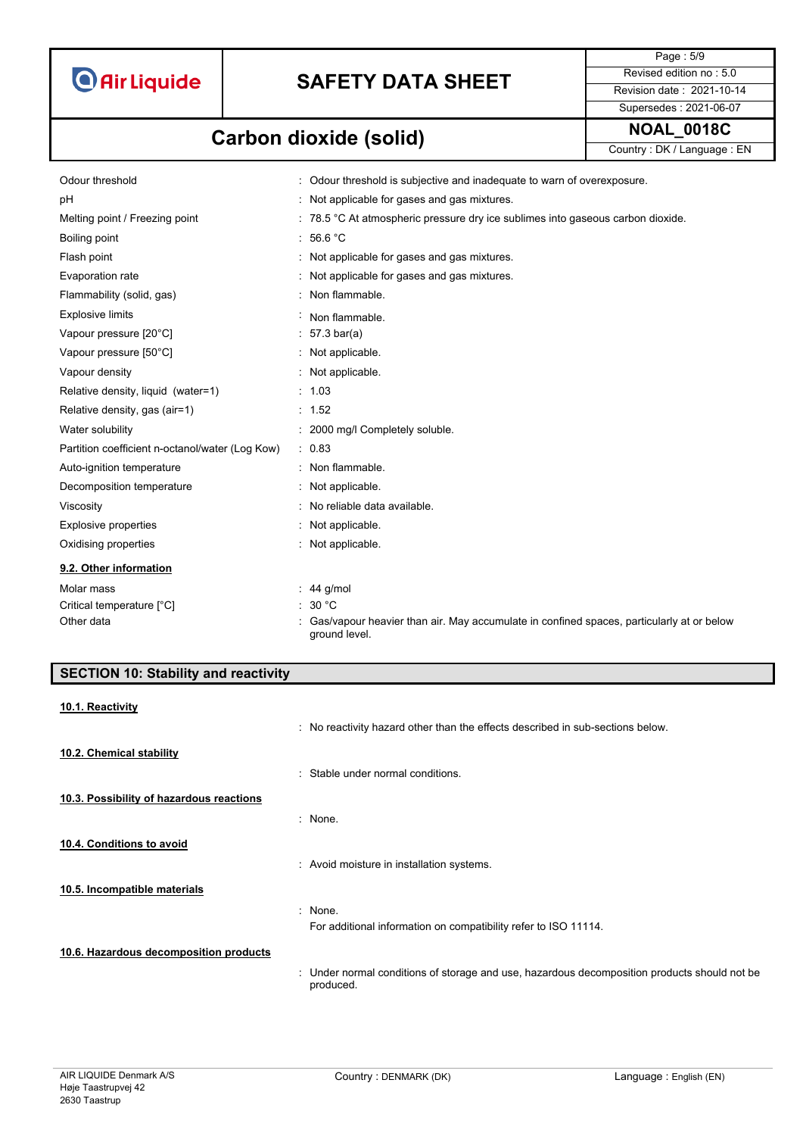

# **SAFETY DATA SHEET** Revised edition no : 5.0

Page : 5/9 Supersedes : 2021-06-07

# **NOAL\_0018C Carbon dioxide (solid)**

Country : DK / Language : EN

| Odour threshold                                 | : Odour threshold is subjective and inadequate to warn of overexposure.                                   |
|-------------------------------------------------|-----------------------------------------------------------------------------------------------------------|
| рH                                              | : Not applicable for gases and gas mixtures.                                                              |
| Melting point / Freezing point                  | : 78.5 °C At atmospheric pressure dry ice sublimes into gaseous carbon dioxide.                           |
| Boiling point                                   | : 56.6 °C                                                                                                 |
| Flash point                                     | Not applicable for gases and gas mixtures.                                                                |
| Evaporation rate                                | : Not applicable for gases and gas mixtures.                                                              |
| Flammability (solid, gas)                       | Non flammable.                                                                                            |
| <b>Explosive limits</b>                         | Non flammable.                                                                                            |
| Vapour pressure [20°C]                          | $57.3 \text{ bar(a)}$                                                                                     |
| Vapour pressure [50°C]                          | Not applicable.                                                                                           |
| Vapour density                                  | : Not applicable.                                                                                         |
| Relative density, liquid (water=1)              | : 1.03                                                                                                    |
| Relative density, gas (air=1)                   | : 1.52                                                                                                    |
| Water solubility                                | : 2000 mg/l Completely soluble.                                                                           |
| Partition coefficient n-octanol/water (Log Kow) | : 0.83                                                                                                    |
| Auto-ignition temperature                       | : Non flammable.                                                                                          |
| Decomposition temperature                       | : Not applicable.                                                                                         |
| Viscosity                                       | : No reliable data available.                                                                             |
| <b>Explosive properties</b>                     | : Not applicable.                                                                                         |
| Oxidising properties                            | : Not applicable.                                                                                         |
| 9.2. Other information                          |                                                                                                           |
| Molar mass                                      | 44 g/mol                                                                                                  |
| Critical temperature [°C]                       | 30 °C                                                                                                     |
| Other data                                      | Gas/vapour heavier than air. May accumulate in confined spaces, particularly at or below<br>ground level. |

| <b>SECTION 10: Stability and reactivity</b> |                                                                                                           |
|---------------------------------------------|-----------------------------------------------------------------------------------------------------------|
| 10.1. Reactivity                            | : No reactivity hazard other than the effects described in sub-sections below.                            |
| 10.2. Chemical stability                    | : Stable under normal conditions.                                                                         |
| 10.3. Possibility of hazardous reactions    | : None.                                                                                                   |
| 10.4. Conditions to avoid                   | : Avoid moisture in installation systems.                                                                 |
| 10.5. Incompatible materials                |                                                                                                           |
|                                             | None.<br>÷<br>For additional information on compatibility refer to ISO 11114.                             |
| 10.6. Hazardous decomposition products      | : Under normal conditions of storage and use, hazardous decomposition products should not be<br>produced. |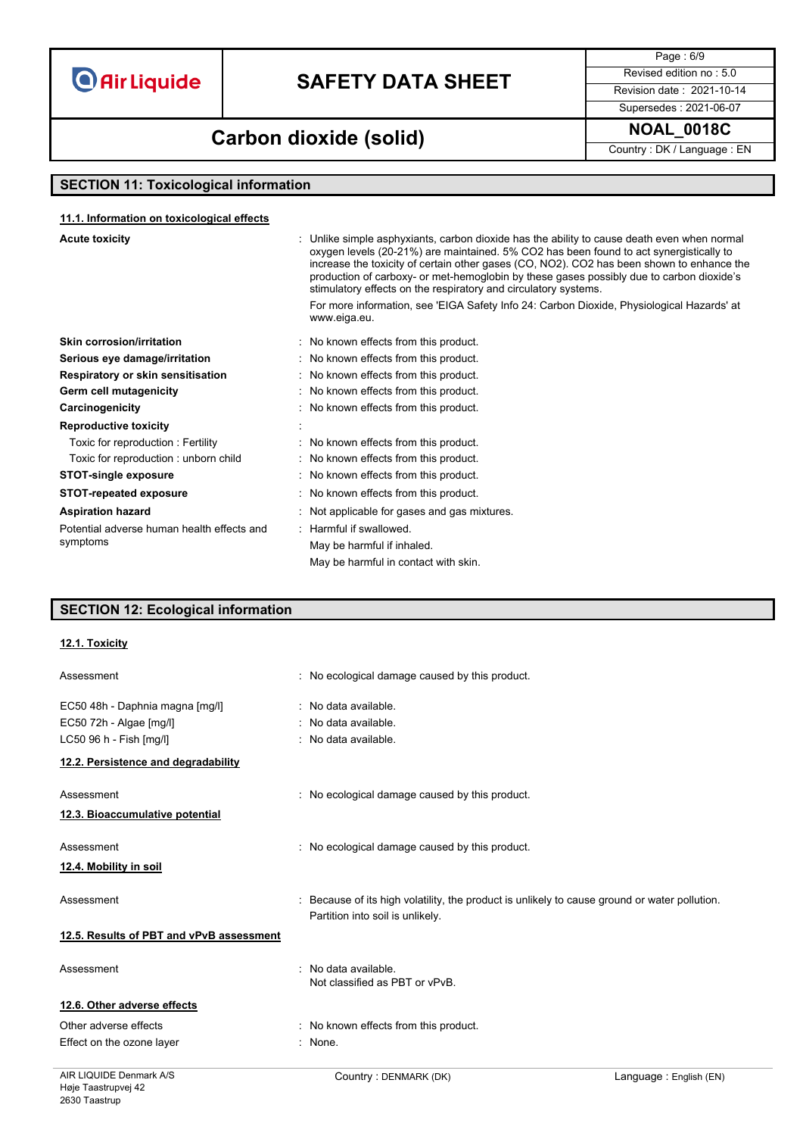# **SAFETY DATA SHEET** Revised edition no : 5.0

Page : 6/9

**NOAL\_0018C Carbon dioxide (solid)**

Supersedes : 2021-06-07

Country : DK / Language : EN

### **SECTION 11: Toxicological information**

#### **11.1. Information on toxicological effects**

| production of carboxy- or met-hemoglobin by these gases possibly due to carbon dioxide's<br>stimulatory effects on the respiratory and circulatory systems. |  |
|-------------------------------------------------------------------------------------------------------------------------------------------------------------|--|
| For more information, see 'EIGA Safety Info 24: Carbon Dioxide, Physiological Hazards' at<br>www.eiga.eu.                                                   |  |
| Skin corrosion/irritation<br>: No known effects from this product.                                                                                          |  |
| : No known effects from this product.<br>Serious eye damage/irritation                                                                                      |  |
| Respiratory or skin sensitisation<br>: No known effects from this product.                                                                                  |  |
| Germ cell mutagenicity<br>: No known effects from this product.                                                                                             |  |
| : No known effects from this product.<br>Carcinogenicity                                                                                                    |  |
| <b>Reproductive toxicity</b>                                                                                                                                |  |
| Toxic for reproduction: Fertility<br>: No known effects from this product.                                                                                  |  |
| Toxic for reproduction: unborn child<br>: No known effects from this product.                                                                               |  |
| : No known effects from this product.<br><b>STOT-single exposure</b>                                                                                        |  |
| : No known effects from this product.<br><b>STOT-repeated exposure</b>                                                                                      |  |
| <b>Aspiration hazard</b><br>: Not applicable for gases and gas mixtures.                                                                                    |  |
| : Harmful if swallowed.<br>Potential adverse human health effects and                                                                                       |  |
| symptoms<br>May be harmful if inhaled.                                                                                                                      |  |
| May be harmful in contact with skin.                                                                                                                        |  |
|                                                                                                                                                             |  |

### **SECTION 12: Ecological information**

#### **12.1. Toxicity**

| Assessment                               | : No ecological damage caused by this product.                                                                                    |
|------------------------------------------|-----------------------------------------------------------------------------------------------------------------------------------|
| EC50 48h - Daphnia magna [mg/l]          | : No data available.                                                                                                              |
| EC50 72h - Algae [mg/l]                  | : No data available.                                                                                                              |
| LC50 96 h - Fish [mg/l]                  | No data available.                                                                                                                |
| 12.2. Persistence and degradability      |                                                                                                                                   |
| Assessment                               | : No ecological damage caused by this product.                                                                                    |
| 12.3. Bioaccumulative potential          |                                                                                                                                   |
| Assessment                               | : No ecological damage caused by this product.                                                                                    |
| 12.4. Mobility in soil                   |                                                                                                                                   |
| Assessment                               | : Because of its high volatility, the product is unlikely to cause ground or water pollution.<br>Partition into soil is unlikely. |
| 12.5. Results of PBT and vPvB assessment |                                                                                                                                   |
| Assessment                               | No data available.<br>Not classified as PBT or vPvB.                                                                              |
| 12.6. Other adverse effects              |                                                                                                                                   |
| Other adverse effects                    | : No known effects from this product.                                                                                             |
| Effect on the ozone layer                | : None.                                                                                                                           |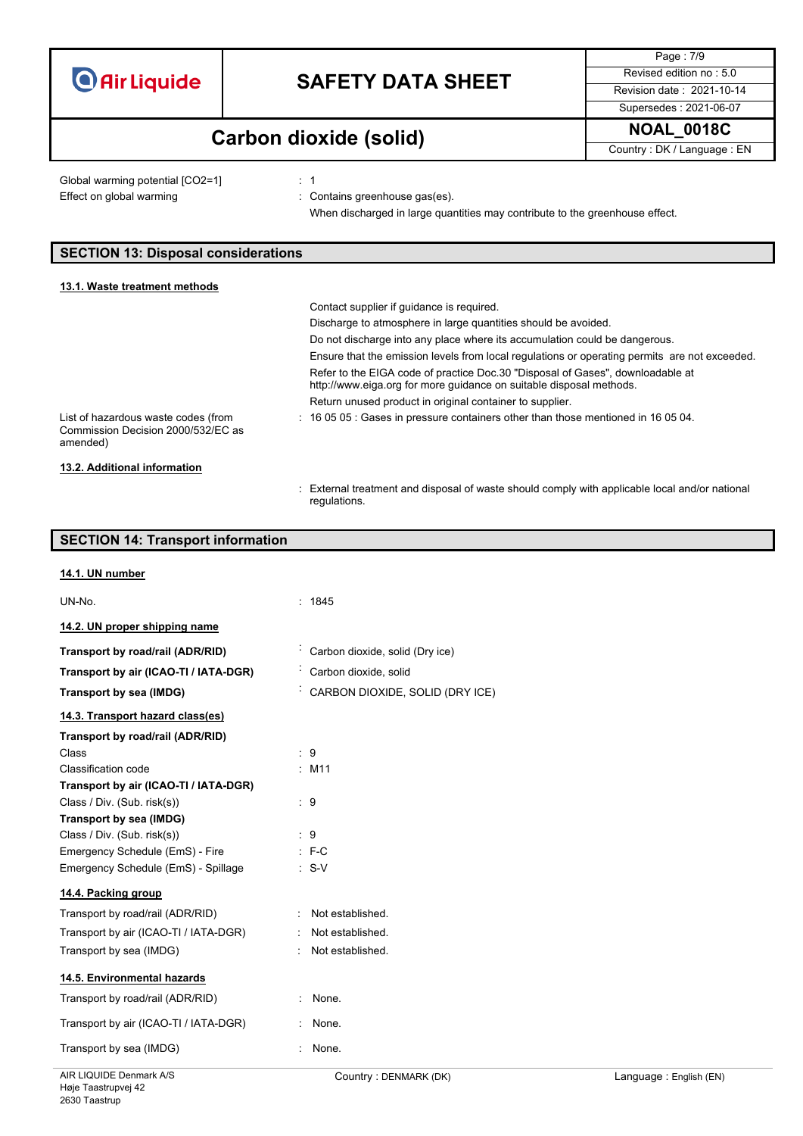| <b>O</b> Air Liquide |  |  |
|----------------------|--|--|

# **SAFETY DATA SHEET** Revised edition no : 5.0

Page : 7/9 Supersedes : 2021-06-07

### **NOAL\_0018C Carbon dioxide (solid)**

regulations.

Country : DK / Language : EN

Global warming potential [CO2=1] : 1 Effect on global warming **in the contains greenhouse gas(es)**.

When discharged in large quantities may contribute to the greenhouse effect.

: External treatment and disposal of waste should comply with applicable local and/or national

### **SECTION 13: Disposal considerations**

| 13.1. Waste treatment methods                                                         |                                                                                                                                                       |
|---------------------------------------------------------------------------------------|-------------------------------------------------------------------------------------------------------------------------------------------------------|
|                                                                                       | Contact supplier if quidance is required.                                                                                                             |
|                                                                                       | Discharge to atmosphere in large quantities should be avoided.                                                                                        |
|                                                                                       | Do not discharge into any place where its accumulation could be dangerous.                                                                            |
|                                                                                       | Ensure that the emission levels from local regulations or operating permits are not exceeded.                                                         |
|                                                                                       | Refer to the EIGA code of practice Doc.30 "Disposal of Gases", downloadable at<br>http://www.eiga.org for more guidance on suitable disposal methods. |
|                                                                                       | Return unused product in original container to supplier.                                                                                              |
| List of hazardous waste codes (from<br>Commission Decision 2000/532/EC as<br>amended) | : 16 05 05 : Gases in pressure containers other than those mentioned in 16 05 04.                                                                     |
| 13.2. Additional information                                                          |                                                                                                                                                       |

### **SECTION 14: Transport information**

| : 1845                            |
|-----------------------------------|
|                                   |
| Carbon dioxide, solid (Dry ice)   |
| Carbon dioxide, solid             |
| CARBON DIOXIDE, SOLID (DRY ICE)   |
|                                   |
|                                   |
| :9                                |
| $:$ M11                           |
|                                   |
| $\therefore$ 9                    |
|                                   |
| $\cdot$ 9                         |
| $: F-C$                           |
| $\therefore$ S-V                  |
|                                   |
| Not established.<br>$\mathcal{L}$ |
| Not established.<br>÷             |
| Not established.<br>$\bullet$     |
|                                   |
| ÷<br>None.                        |
| None.<br>÷.                       |
| $\bullet$<br>None.                |
|                                   |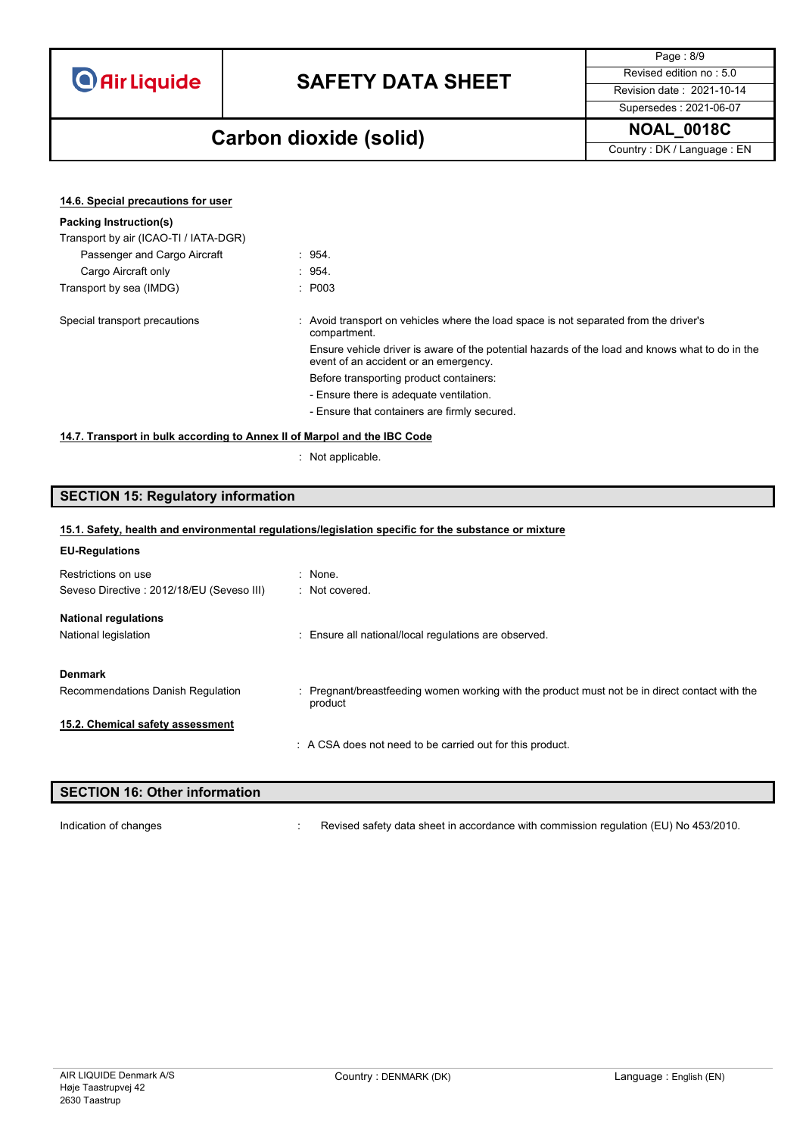# **SAFETY DATA SHEET** Revised edition no : 5.0

Page : 8/9 Supersedes : 2021-06-07

### **NOAL\_0018C Carbon dioxide (solid)**

Country : DK / Language : EN

| 14.6. Special precautions for user                                       |                                                                                                                                          |
|--------------------------------------------------------------------------|------------------------------------------------------------------------------------------------------------------------------------------|
| Packing Instruction(s)                                                   |                                                                                                                                          |
| Transport by air (ICAO-TI / IATA-DGR)                                    |                                                                                                                                          |
| Passenger and Cargo Aircraft                                             | : 954.                                                                                                                                   |
| Cargo Aircraft only                                                      | : 954.                                                                                                                                   |
| Transport by sea (IMDG)                                                  | : P003                                                                                                                                   |
| Special transport precautions                                            | : Avoid transport on vehicles where the load space is not separated from the driver's<br>compartment.                                    |
|                                                                          | Ensure vehicle driver is aware of the potential hazards of the load and knows what to do in the<br>event of an accident or an emergency. |
|                                                                          | Before transporting product containers:                                                                                                  |
|                                                                          | - Ensure there is adequate ventilation.                                                                                                  |
|                                                                          | - Ensure that containers are firmly secured.                                                                                             |
| 14.7. Transport in bulk according to Annex II of Marpol and the IBC Code |                                                                                                                                          |

: Not applicable.

### **SECTION 15: Regulatory information**

### **15.1. Safety, health and environmental regulations/legislation specific for the substance or mixture**

|  |  | <b>EU-Regulations</b> |  |
|--|--|-----------------------|--|
|--|--|-----------------------|--|

| Restrictions on use                                 | $:$ None.                                                                                      |
|-----------------------------------------------------|------------------------------------------------------------------------------------------------|
| Seveso Directive: 2012/18/EU (Seveso III)           | : Not covered.                                                                                 |
| <b>National regulations</b><br>National legislation | : Ensure all national/local regulations are observed.                                          |
| <b>Denmark</b>                                      | : Pregnant/breastfeeding women working with the product must not be in direct contact with the |
| Recommendations Danish Regulation                   | product                                                                                        |
| 15.2. Chemical safety assessment                    | : A CSA does not need to be carried out for this product.                                      |

| <b>SECTION 16: Other information</b> |                                                                                      |
|--------------------------------------|--------------------------------------------------------------------------------------|
|                                      |                                                                                      |
| Indication of changes                | Revised safety data sheet in accordance with commission regulation (EU) No 453/2010. |